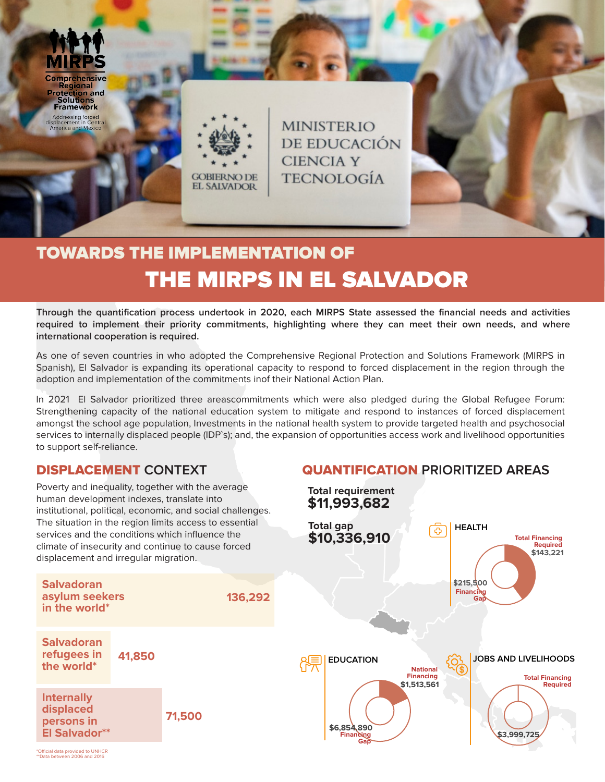

**Regional Protection and Solutions Framework** 

<mark>Addressing forced</mark><br>iplacement in Central<br>imer<mark>ica and Mexic</mark>o



**MINISTERIO** DE EDUCACIÓN **CIENCIA Y TECNOLOGÍA** 

# TOWARDS THE IMPLEMENTATION OF THE MIRPS IN EL SALVADOR

**Through the quantification process undertook in 2020, each MIRPS State assessed the financial needs and activities required to implement their priority commitments, highlighting where they can meet their own needs, and where international cooperation is required.** 

As one of seven countries in who adopted the Comprehensive Regional Protection and Solutions Framework (MIRPS in Spanish), El Salvador is expanding its operational capacity to respond to forced displacement in the region through the adoption and implementation of the commitments inof their National Action Plan.

In 2021 El Salvador prioritized three areascommitments which were also pledged during the Global Refugee Forum: Strengthening capacity of the national education system to mitigate and respond to instances of forced displacement amongst the school age population, Investments in the national health system to provide targeted health and psychosocial services to internally displaced people (IDP`s); and, the expansion of opportunities access work and livelihood opportunities to support self-reliance.

## DISPLACEMENT **CONTEXT**

Poverty and inequality, together with the average

## QUANTIFICATION **PRIORITIZED AREAS**



\*Official data provided to UNHCR \*\*Data between 2006 and 2016